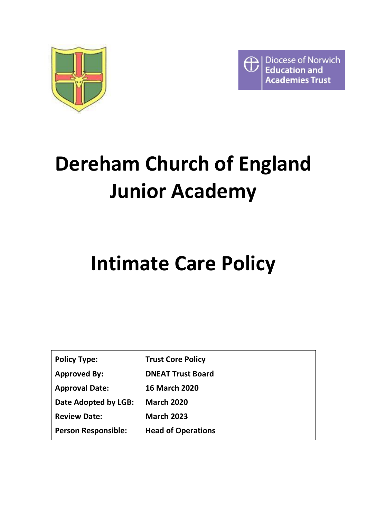

Diocese of Norwich  $\overline{\oplus}$ **Education and Academies Trust** 

# **Dereham Church of England Junior Academy**

## **Intimate Care Policy**

| <b>Policy Type:</b>        | <b>Trust Core Policy</b>  |
|----------------------------|---------------------------|
| <b>Approved By:</b>        | <b>DNEAT Trust Board</b>  |
| <b>Approval Date:</b>      | <b>16 March 2020</b>      |
| Date Adopted by LGB:       | <b>March 2020</b>         |
| <b>Review Date:</b>        | <b>March 2023</b>         |
| <b>Person Responsible:</b> | <b>Head of Operations</b> |
|                            |                           |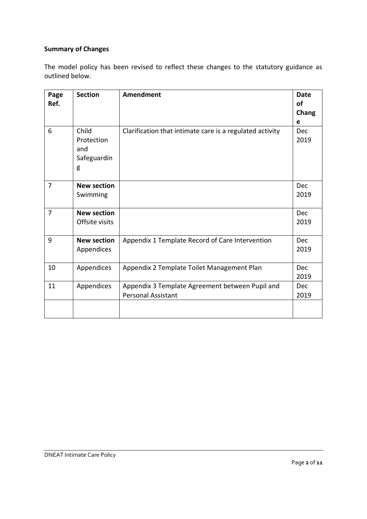## **Summary of Changes**

The model policy has been revised to reflect these changes to the statutory guidance as outlined below.

| Page<br>Ref.   | <b>Section</b>                                 | <b>Amendment</b>                                                             | <b>Date</b><br>of<br>Chang<br>e |
|----------------|------------------------------------------------|------------------------------------------------------------------------------|---------------------------------|
| 6              | Child<br>Protection<br>and<br>Safeguardin<br>g | Clarification that intimate care is a regulated activity                     | Dec<br>2019                     |
| $\overline{7}$ | <b>New section</b><br>Swimming                 |                                                                              | Dec<br>2019                     |
| $\overline{7}$ | <b>New section</b><br>Offsite visits           |                                                                              | Dec<br>2019                     |
| 9              | <b>New section</b><br>Appendices               | Appendix 1 Template Record of Care Intervention                              | <b>Dec</b><br>2019              |
| 10             | Appendices                                     | Appendix 2 Template Toilet Management Plan                                   | <b>Dec</b><br>2019              |
| 11             | Appendices                                     | Appendix 3 Template Agreement between Pupil and<br><b>Personal Assistant</b> | Dec<br>2019                     |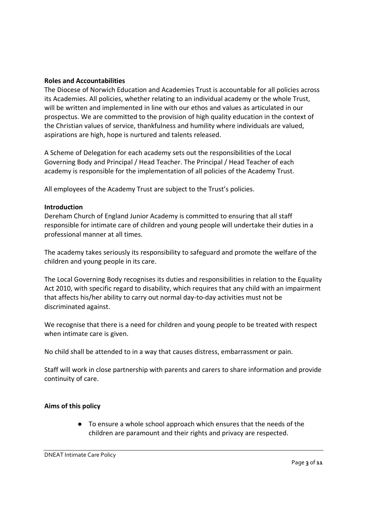#### **Roles and Accountabilities**

The Diocese of Norwich Education and Academies Trust is accountable for all policies across its Academies. All policies, whether relating to an individual academy or the whole Trust, will be written and implemented in line with our ethos and values as articulated in our prospectus. We are committed to the provision of high quality education in the context of the Christian values of service, thankfulness and humility where individuals are valued, aspirations are high, hope is nurtured and talents released.

A Scheme of Delegation for each academy sets out the responsibilities of the Local Governing Body and Principal / Head Teacher. The Principal / Head Teacher of each academy is responsible for the implementation of all policies of the Academy Trust.

All employees of the Academy Trust are subject to the Trust's policies.

#### **Introduction**

Dereham Church of England Junior Academy is committed to ensuring that all staff responsible for intimate care of children and young people will undertake their duties in a professional manner at all times.

The academy takes seriously its responsibility to safeguard and promote the welfare of the children and young people in its care.

The Local Governing Body recognises its duties and responsibilities in relation to the Equality Act 2010, with specific regard to disability, which requires that any child with an impairment that affects his/her ability to carry out normal day-to-day activities must not be discriminated against.

We recognise that there is a need for children and young people to be treated with respect when intimate care is given.

No child shall be attended to in a way that causes distress, embarrassment or pain.

Staff will work in close partnership with parents and carers to share information and provide continuity of care.

### **Aims of this policy**

● To ensure a whole school approach which ensures that the needs of the children are paramount and their rights and privacy are respected.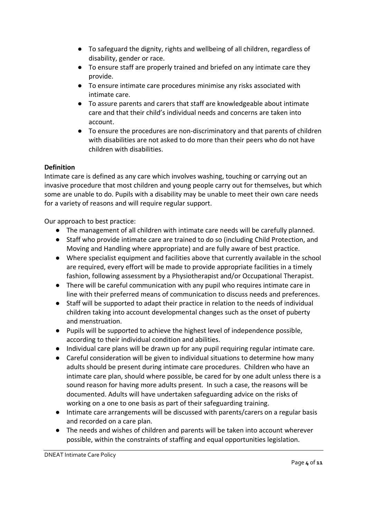- To safeguard the dignity, rights and wellbeing of all children, regardless of disability, gender or race.
- To ensure staff are properly trained and briefed on any intimate care they provide.
- To ensure intimate care procedures minimise any risks associated with intimate care.
- To assure parents and carers that staff are knowledgeable about intimate care and that their child's individual needs and concerns are taken into account.
- To ensure the procedures are non-discriminatory and that parents of children with disabilities are not asked to do more than their peers who do not have children with disabilities.

## **Definition**

Intimate care is defined as any care which involves washing, touching or carrying out an invasive procedure that most children and young people carry out for themselves, but which some are unable to do. Pupils with a disability may be unable to meet their own care needs for a variety of reasons and will require regular support.

Our approach to best practice:

- The management of all children with intimate care needs will be carefully planned.
- Staff who provide intimate care are trained to do so (including Child Protection, and Moving and Handling where appropriate) and are fully aware of best practice.
- Where specialist equipment and facilities above that currently available in the school are required, every effort will be made to provide appropriate facilities in a timely fashion, following assessment by a Physiotherapist and/or Occupational Therapist.
- There will be careful communication with any pupil who requires intimate care in line with their preferred means of communication to discuss needs and preferences.
- Staff will be supported to adapt their practice in relation to the needs of individual children taking into account developmental changes such as the onset of puberty and menstruation.
- Pupils will be supported to achieve the highest level of independence possible, according to their individual condition and abilities.
- Individual care plans will be drawn up for any pupil requiring regular intimate care.
- Careful consideration will be given to individual situations to determine how many adults should be present during intimate care procedures. Children who have an intimate care plan, should where possible, be cared for by one adult unless there is a sound reason for having more adults present. In such a case, the reasons will be documented. Adults will have undertaken safeguarding advice on the risks of working on a one to one basis as part of their safeguarding training.
- Intimate care arrangements will be discussed with parents/carers on a regular basis and recorded on a care plan.
- The needs and wishes of children and parents will be taken into account wherever possible, within the constraints of staffing and equal opportunities legislation.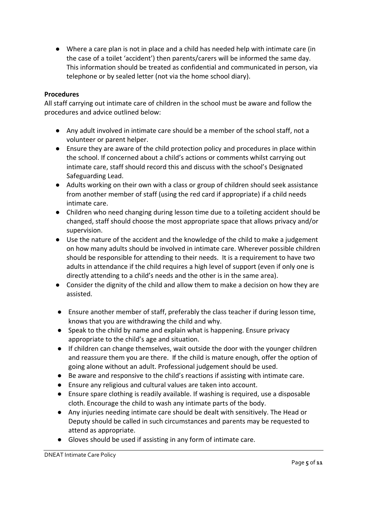● Where a care plan is not in place and a child has needed help with intimate care (in the case of a toilet 'accident') then parents/carers will be informed the same day. This information should be treated as confidential and communicated in person, via telephone or by sealed letter (not via the home school diary).

### **Procedures**

All staff carrying out intimate care of children in the school must be aware and follow the procedures and advice outlined below:

- Any adult involved in intimate care should be a member of the school staff, not a volunteer or parent helper.
- Ensure they are aware of the child protection policy and procedures in place within the school. If concerned about a child's actions or comments whilst carrying out intimate care, staff should record this and discuss with the school's Designated Safeguarding Lead.
- Adults working on their own with a class or group of children should seek assistance from another member of staff (using the red card if appropriate) if a child needs intimate care.
- Children who need changing during lesson time due to a toileting accident should be changed, staff should choose the most appropriate space that allows privacy and/or supervision.
- Use the nature of the accident and the knowledge of the child to make a judgement on how many adults should be involved in intimate care. Wherever possible children should be responsible for attending to their needs. It is a requirement to have two adults in attendance if the child requires a high level of support (even if only one is directly attending to a child's needs and the other is in the same area).
- Consider the dignity of the child and allow them to make a decision on how they are assisted.
- Ensure another member of staff, preferably the class teacher if during lesson time, knows that you are withdrawing the child and why.
- Speak to the child by name and explain what is happening. Ensure privacy appropriate to the child's age and situation.
- If children can change themselves, wait outside the door with the younger children and reassure them you are there. If the child is mature enough, offer the option of going alone without an adult. Professional judgement should be used.
- Be aware and responsive to the child's reactions if assisting with intimate care.
- Ensure any religious and cultural values are taken into account.
- Ensure spare clothing is readily available. If washing is required, use a disposable cloth. Encourage the child to wash any intimate parts of the body.
- Any injuries needing intimate care should be dealt with sensitively. The Head or Deputy should be called in such circumstances and parents may be requested to attend as appropriate.
- Gloves should be used if assisting in any form of intimate care.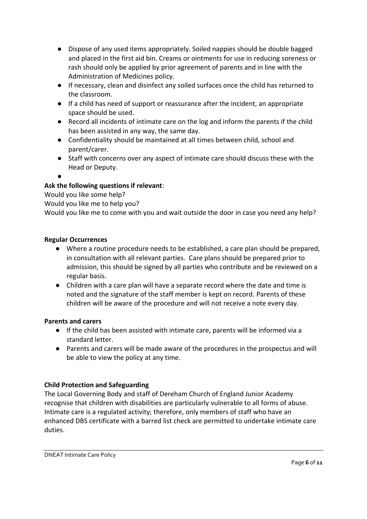- Dispose of any used items appropriately. Soiled nappies should be double bagged and placed in the first aid bin. Creams or ointments for use in reducing soreness or rash should only be applied by prior agreement of parents and in line with the Administration of Medicines policy.
- If necessary, clean and disinfect any soiled surfaces once the child has returned to the classroom.
- If a child has need of support or reassurance after the incident, an appropriate space should be used.
- Record all incidents of intimate care on the log and inform the parents if the child has been assisted in any way, the same day.
- Confidentiality should be maintained at all times between child, school and parent/carer.
- Staff with concerns over any aspect of intimate care should discuss these with the Head or Deputy.
- ●

## **Ask the following questions if relevant**:

Would you like some help?

Would you like me to help you?

Would you like me to come with you and wait outside the door in case you need any help?

## **Regular Occurrences**

- Where a routine procedure needs to be established, a care plan should be prepared, in consultation with all relevant parties. Care plans should be prepared prior to admission, this should be signed by all parties who contribute and be reviewed on a regular basis.
- Children with a care plan will have a separate record where the date and time is noted and the signature of the staff member is kept on record. Parents of these children will be aware of the procedure and will not receive a note every day.

## **Parents and carers**

- If the child has been assisted with intimate care, parents will be informed via a standard letter.
- Parents and carers will be made aware of the procedures in the prospectus and will be able to view the policy at any time.

## **Child Protection and Safeguarding**

The Local Governing Body and staff of Dereham Church of England Junior Academy recognise that children with disabilities are particularly vulnerable to all forms of abuse. Intimate care is a regulated activity; therefore, only members of staff who have an enhanced DBS certificate with a barred list check are permitted to undertake intimate care duties.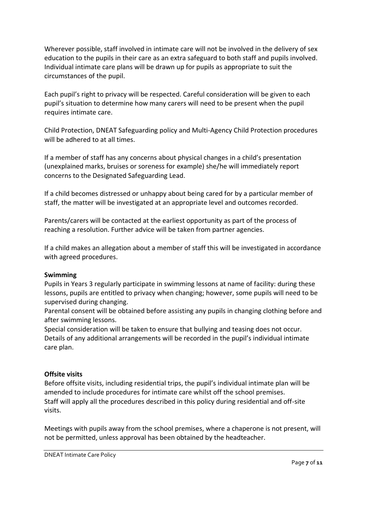Wherever possible, staff involved in intimate care will not be involved in the delivery of sex education to the pupils in their care as an extra safeguard to both staff and pupils involved. Individual intimate care plans will be drawn up for pupils as appropriate to suit the circumstances of the pupil.

Each pupil's right to privacy will be respected. Careful consideration will be given to each pupil's situation to determine how many carers will need to be present when the pupil requires intimate care.

Child Protection, DNEAT Safeguarding policy and Multi-Agency Child Protection procedures will be adhered to at all times.

If a member of staff has any concerns about physical changes in a child's presentation (unexplained marks, bruises or soreness for example) she/he will immediately report concerns to the Designated Safeguarding Lead.

If a child becomes distressed or unhappy about being cared for by a particular member of staff, the matter will be investigated at an appropriate level and outcomes recorded.

Parents/carers will be contacted at the earliest opportunity as part of the process of reaching a resolution. Further advice will be taken from partner agencies.

If a child makes an allegation about a member of staff this will be investigated in accordance with agreed procedures.

### **Swimming**

Pupils in Years 3 regularly participate in swimming lessons at name of facility: during these lessons, pupils are entitled to privacy when changing; however, some pupils will need to be supervised during changing.

Parental consent will be obtained before assisting any pupils in changing clothing before and after swimming lessons.

Special consideration will be taken to ensure that bullying and teasing does not occur. Details of any additional arrangements will be recorded in the pupil's individual intimate care plan.

#### **Offsite visits**

Before offsite visits, including residential trips, the pupil's individual intimate plan will be amended to include procedures for intimate care whilst off the school premises. Staff will apply all the procedures described in this policy during residential and off-site visits.

Meetings with pupils away from the school premises, where a chaperone is not present, will not be permitted, unless approval has been obtained by the headteacher.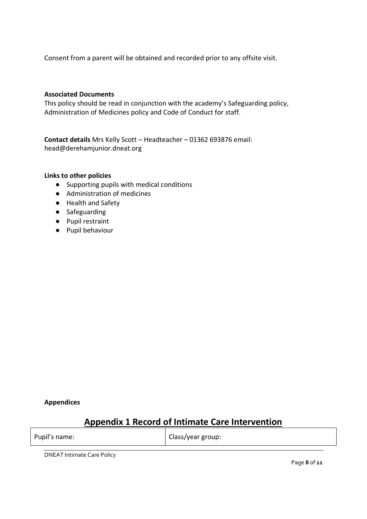Consent from a parent will be obtained and recorded prior to any offsite visit.

#### **Associated Documents**

This policy should be read in conjunction with the academy's Safeguarding policy, Administration of Medicines policy and Code of Conduct for staff.

**Contact details** Mrs Kelly Scott – Headteacher – 01362 693876 email: head@derehamjunior.dneat.org

#### **Links to other policies**

- Supporting pupils with medical conditions
- Administration of medicines
- Health and Safety
- Safeguarding
- Pupil restraint
- Pupil behaviour

**Appendices**

## **Appendix 1 Record of Intimate Care Intervention**

Pupil's name:  $\vert$  Class/year group:

DNEAT Intimate Care Policy

Page **8**of **11**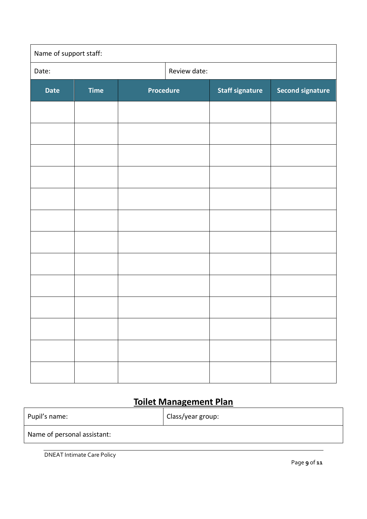| Name of support staff: |             |                  |  |                        |                         |
|------------------------|-------------|------------------|--|------------------------|-------------------------|
| Date:                  |             | Review date:     |  |                        |                         |
| <b>Date</b>            | <b>Time</b> | <b>Procedure</b> |  | <b>Staff signature</b> | <b>Second signature</b> |
|                        |             |                  |  |                        |                         |
|                        |             |                  |  |                        |                         |
|                        |             |                  |  |                        |                         |
|                        |             |                  |  |                        |                         |
|                        |             |                  |  |                        |                         |
|                        |             |                  |  |                        |                         |
|                        |             |                  |  |                        |                         |
|                        |             |                  |  |                        |                         |
|                        |             |                  |  |                        |                         |
|                        |             |                  |  |                        |                         |
|                        |             |                  |  |                        |                         |
|                        |             |                  |  |                        |                         |
|                        |             |                  |  |                        |                         |

## **Toilet Management Plan**

| Pupil's name:               | Class/year group: |
|-----------------------------|-------------------|
| Name of personal assistant: |                   |
|                             |                   |

DNEAT Intimate Care Policy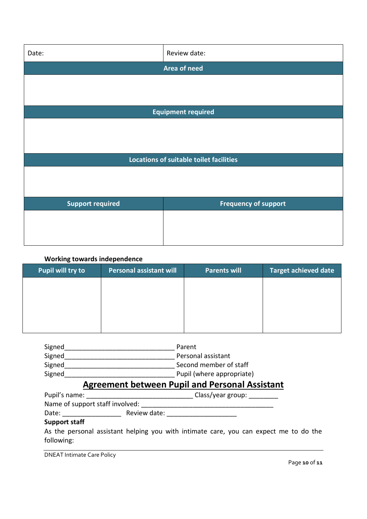| Date:                                   | Review date:                |  |  |
|-----------------------------------------|-----------------------------|--|--|
|                                         | Area of need                |  |  |
|                                         |                             |  |  |
|                                         |                             |  |  |
| <b>Equipment required</b>               |                             |  |  |
|                                         |                             |  |  |
|                                         |                             |  |  |
|                                         |                             |  |  |
| Locations of suitable toilet facilities |                             |  |  |
|                                         |                             |  |  |
|                                         |                             |  |  |
| <b>Support required</b>                 | <b>Frequency of support</b> |  |  |
|                                         |                             |  |  |
|                                         |                             |  |  |
|                                         |                             |  |  |

#### **Working towards independence**

| <b>Pupil will try to</b> | <b>Personal assistant will</b> | <b>Parents will</b> | <b>Target achieved date</b> |
|--------------------------|--------------------------------|---------------------|-----------------------------|
|                          |                                |                     |                             |
|                          |                                |                     |                             |
|                          |                                |                     |                             |
|                          |                                |                     |                             |

| Signed | Parent                    |
|--------|---------------------------|
| Signed | Personal assistant        |
| Signed | Second member of staff    |
| Signed | Pupil (where appropriate) |

## **Agreement between Pupil and Personal Assistant**

| Pupil's name:                   |              | Class/year group: |  |
|---------------------------------|--------------|-------------------|--|
| Name of support staff involved: |              |                   |  |
| Date:                           | Review date: |                   |  |
| <b>Support staff</b>            |              |                   |  |

As the personal assistant helping you with intimate care, you can expect me to do the following:

DNEAT Intimate Care Policy